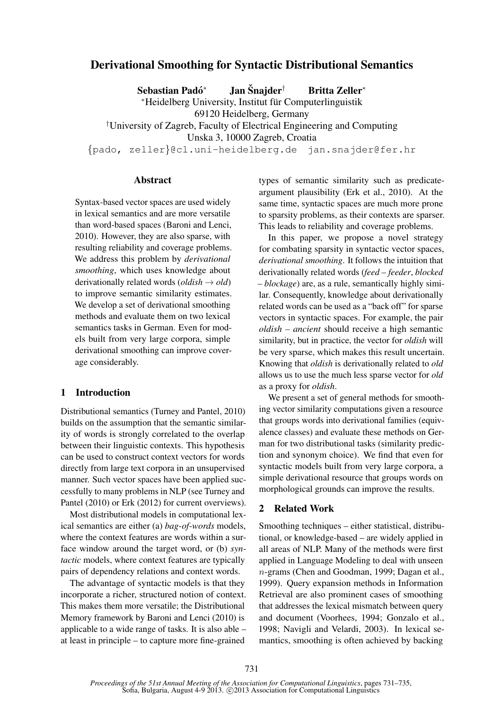# Derivational Smoothing for Syntactic Distributional Semantics

Sebastian Padó<sup>\*</sup>  $\mathbf{I}$ an Šnajder $^{\dagger}$   $\qquad$  Britta Zeller<sup>\*</sup> <sup>∗</sup>Heidelberg University, Institut fur Computerlinguistik ¨ 69120 Heidelberg, Germany †University of Zagreb, Faculty of Electrical Engineering and Computing Unska 3, 10000 Zagreb, Croatia {pado, zeller}@cl.uni-heidelberg.de jan.snajder@fer.hr

## Abstract

Syntax-based vector spaces are used widely in lexical semantics and are more versatile than word-based spaces (Baroni and Lenci, 2010). However, they are also sparse, with resulting reliability and coverage problems. We address this problem by *derivational smoothing*, which uses knowledge about derivationally related words (*oldish* → *old*) to improve semantic similarity estimates. We develop a set of derivational smoothing methods and evaluate them on two lexical semantics tasks in German. Even for models built from very large corpora, simple derivational smoothing can improve coverage considerably.

## 1 Introduction

Distributional semantics (Turney and Pantel, 2010) builds on the assumption that the semantic similarity of words is strongly correlated to the overlap between their linguistic contexts. This hypothesis can be used to construct context vectors for words directly from large text corpora in an unsupervised manner. Such vector spaces have been applied successfully to many problems in NLP (see Turney and Pantel (2010) or Erk (2012) for current overviews).

Most distributional models in computational lexical semantics are either (a) *bag-of-words* models, where the context features are words within a surface window around the target word, or (b) *syntactic* models, where context features are typically pairs of dependency relations and context words.

The advantage of syntactic models is that they incorporate a richer, structured notion of context. This makes them more versatile; the Distributional Memory framework by Baroni and Lenci (2010) is applicable to a wide range of tasks. It is also able – at least in principle – to capture more fine-grained

types of semantic similarity such as predicateargument plausibility (Erk et al., 2010). At the same time, syntactic spaces are much more prone to sparsity problems, as their contexts are sparser. This leads to reliability and coverage problems.

In this paper, we propose a novel strategy for combating sparsity in syntactic vector spaces, *derivational smoothing*. It follows the intuition that derivationally related words (*feed – feeder*, *blocked – blockage*) are, as a rule, semantically highly similar. Consequently, knowledge about derivationally related words can be used as a "back off" for sparse vectors in syntactic spaces. For example, the pair *oldish – ancient* should receive a high semantic similarity, but in practice, the vector for *oldish* will be very sparse, which makes this result uncertain. Knowing that *oldish* is derivationally related to *old* allows us to use the much less sparse vector for *old* as a proxy for *oldish*.

We present a set of general methods for smoothing vector similarity computations given a resource that groups words into derivational families (equivalence classes) and evaluate these methods on German for two distributional tasks (similarity prediction and synonym choice). We find that even for syntactic models built from very large corpora, a simple derivational resource that groups words on morphological grounds can improve the results.

## 2 Related Work

Smoothing techniques – either statistical, distributional, or knowledge-based – are widely applied in all areas of NLP. Many of the methods were first applied in Language Modeling to deal with unseen n-grams (Chen and Goodman, 1999; Dagan et al., 1999). Query expansion methods in Information Retrieval are also prominent cases of smoothing that addresses the lexical mismatch between query and document (Voorhees, 1994; Gonzalo et al., 1998; Navigli and Velardi, 2003). In lexical semantics, smoothing is often achieved by backing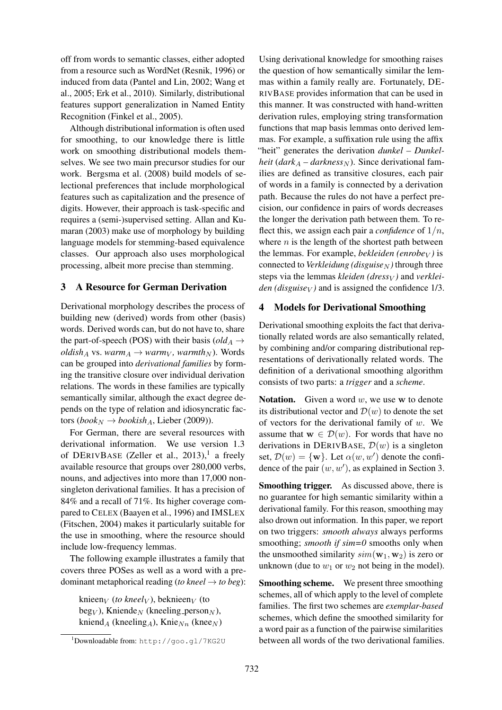off from words to semantic classes, either adopted from a resource such as WordNet (Resnik, 1996) or induced from data (Pantel and Lin, 2002; Wang et al., 2005; Erk et al., 2010). Similarly, distributional features support generalization in Named Entity Recognition (Finkel et al., 2005).

Although distributional information is often used for smoothing, to our knowledge there is little work on smoothing distributional models themselves. We see two main precursor studies for our work. Bergsma et al. (2008) build models of selectional preferences that include morphological features such as capitalization and the presence of digits. However, their approach is task-specific and requires a (semi-)supervised setting. Allan and Kumaran (2003) make use of morphology by building language models for stemming-based equivalence classes. Our approach also uses morphological processing, albeit more precise than stemming.

## 3 A Resource for German Derivation

Derivational morphology describes the process of building new (derived) words from other (basis) words. Derived words can, but do not have to, share the part-of-speech (POS) with their basis ( $old_A \rightarrow$ *oldish*<sub>A</sub> vs. *warm*<sub>A</sub>  $\rightarrow$  *warm*<sub>V</sub>*, warmth*<sub>N</sub> $)$ . Words can be grouped into *derivational families* by forming the transitive closure over individual derivation relations. The words in these families are typically semantically similar, although the exact degree depends on the type of relation and idiosyncratic factors (*book*<sub>N</sub>  $\rightarrow$  *bookish*<sub>A</sub>, Lieber (2009)).

For German, there are several resources with derivational information. We use version 1.3 of DERIVBASE (Zeller et al., 2013),<sup>1</sup> a freely available resource that groups over 280,000 verbs, nouns, and adjectives into more than 17,000 nonsingleton derivational families. It has a precision of 84% and a recall of 71%. Its higher coverage compared to CELEX (Baayen et al., 1996) and IMSLEX (Fitschen, 2004) makes it particularly suitable for the use in smoothing, where the resource should include low-frequency lemmas.

The following example illustrates a family that covers three POSes as well as a word with a predominant metaphorical reading (*to kneel*  $\rightarrow$  *to beg*):

knieen<sub>V</sub> (*to kneel*<sub>V</sub>), beknieen<sub>V</sub> (to  $\text{beg}_V$ ), Kniende<sub>N</sub> (kneeling person<sub>N</sub>), kniend<sub>A</sub> (kneeling<sub>A</sub>), Knie<sub>Nn</sub> (knee<sub>N</sub>)

Using derivational knowledge for smoothing raises the question of how semantically similar the lemmas within a family really are. Fortunately, DE-RIVBASE provides information that can be used in this manner. It was constructed with hand-written derivation rules, employing string transformation functions that map basis lemmas onto derived lemmas. For example, a suffixation rule using the affix "heit" generates the derivation *dunkel – Dunkelheit* ( $dark_A - darkness_N$ ). Since derivational families are defined as transitive closures, each pair of words in a family is connected by a derivation path. Because the rules do not have a perfect precision, our confidence in pairs of words decreases the longer the derivation path between them. To reflect this, we assign each pair a *confidence* of  $1/n$ , where  $n$  is the length of the shortest path between the lemmas. For example, *bekleiden* (*enrobe* $_V$ ) is connected to *Verkleidung* (*disguise*<sub>N</sub>) through three steps via the lemmas *kleiden* (*dress*<sub>V</sub>) and *verkleiden (disguise<sub>V</sub>)* and is assigned the confidence  $1/3$ .

# 4 Models for Derivational Smoothing

Derivational smoothing exploits the fact that derivationally related words are also semantically related, by combining and/or comparing distributional representations of derivationally related words. The definition of a derivational smoothing algorithm consists of two parts: a *trigger* and a *scheme*.

**Notation.** Given a word  $w$ , we use w to denote its distributional vector and  $\mathcal{D}(w)$  to denote the set of vectors for the derivational family of  $w$ . We assume that  $w \in \mathcal{D}(w)$ . For words that have no derivations in DERIVBASE,  $\mathcal{D}(w)$  is a singleton set,  $\mathcal{D}(w) = \{ \mathbf{w} \}$ . Let  $\alpha(w, w')$  denote the confidence of the pair  $(w, w')$ , as explained in Section 3.

Smoothing trigger. As discussed above, there is no guarantee for high semantic similarity within a derivational family. For this reason, smoothing may also drown out information. In this paper, we report on two triggers: *smooth always* always performs smoothing; *smooth if sim=0* smooths only when the unsmoothed similarity  $sim(\mathbf{w}_1, \mathbf{w}_2)$  is zero or unknown (due to  $w_1$  or  $w_2$  not being in the model).

Smoothing scheme. We present three smoothing schemes, all of which apply to the level of complete families. The first two schemes are *exemplar-based* schemes, which define the smoothed similarity for a word pair as a function of the pairwise similarities between all words of the two derivational families.

<sup>1</sup>Downloadable from: http://goo.gl/7KG2U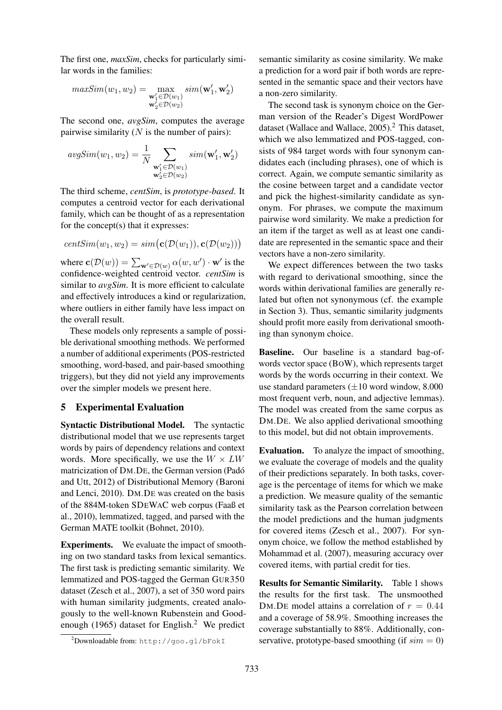The first one, *maxSim*, checks for particularly similar words in the families:

$$
maxSim(w_1, w_2) = \max_{\substack{\mathbf{w}_1' \in \mathcal{D}(w_1) \\ \mathbf{w}_2' \in \mathcal{D}(w_2)}} sim(\mathbf{w}_1', \mathbf{w}_2')
$$

The second one, *avgSim*, computes the average pairwise similarity  $(N$  is the number of pairs):

$$
avgSim(w_1, w_2) = \frac{1}{N} \sum_{\substack{\mathbf{w}_1' \in \mathcal{D}(w_1) \\ \mathbf{w}_2' \in \mathcal{D}(w_2)}} sim(\mathbf{w}_1', \mathbf{w}_2')
$$

The third scheme, *centSim*, is *prototype-based*. It computes a centroid vector for each derivational family, which can be thought of as a representation for the concept(s) that it expresses:

$$
\mathit{centSim}(w_1,w_2) = \mathit{sim}\big(\mathbf{c}(\mathcal{D}(w_1)), \mathbf{c}(\mathcal{D}(w_2))\big)
$$

where  $\mathbf{c}(\mathcal{D}(w)) = \sum_{\mathbf{w}' \in \mathcal{D}(w)} \alpha(w, w') \cdot \mathbf{w}'$  is the confidence-weighted centroid vector. *centSim* is similar to *avgSim*. It is more efficient to calculate and effectively introduces a kind or regularization, where outliers in either family have less impact on the overall result.

These models only represents a sample of possible derivational smoothing methods. We performed a number of additional experiments (POS-restricted smoothing, word-based, and pair-based smoothing triggers), but they did not yield any improvements over the simpler models we present here.

#### 5 Experimental Evaluation

Syntactic Distributional Model. The syntactic distributional model that we use represents target words by pairs of dependency relations and context words. More specifically, we use the  $W \times LW$ matricization of DM.DE, the German version (Pado´ and Utt, 2012) of Distributional Memory (Baroni and Lenci, 2010). DM.DE was created on the basis of the 884M-token SDEWAC web corpus (Faaß et al., 2010), lemmatized, tagged, and parsed with the German MATE toolkit (Bohnet, 2010).

Experiments. We evaluate the impact of smoothing on two standard tasks from lexical semantics. The first task is predicting semantic similarity. We lemmatized and POS-tagged the German GUR350 dataset (Zesch et al., 2007), a set of 350 word pairs with human similarity judgments, created analogously to the well-known Rubenstein and Goodenough (1965) dataset for English.<sup>2</sup> We predict

semantic similarity as cosine similarity. We make a prediction for a word pair if both words are represented in the semantic space and their vectors have a non-zero similarity.

The second task is synonym choice on the German version of the Reader's Digest WordPower dataset (Wallace and Wallace, 2005).<sup>2</sup> This dataset, which we also lemmatized and POS-tagged, consists of 984 target words with four synonym candidates each (including phrases), one of which is correct. Again, we compute semantic similarity as the cosine between target and a candidate vector and pick the highest-similarity candidate as synonym. For phrases, we compute the maximum pairwise word similarity. We make a prediction for an item if the target as well as at least one candidate are represented in the semantic space and their vectors have a non-zero similarity.

We expect differences between the two tasks with regard to derivational smoothing, since the words within derivational families are generally related but often not synonymous (cf. the example in Section 3). Thus, semantic similarity judgments should profit more easily from derivational smoothing than synonym choice.

Baseline. Our baseline is a standard bag-ofwords vector space (BOW), which represents target words by the words occurring in their context. We use standard parameters  $(\pm 10$  word window, 8.000 most frequent verb, noun, and adjective lemmas). The model was created from the same corpus as DM.DE. We also applied derivational smoothing to this model, but did not obtain improvements.

Evaluation. To analyze the impact of smoothing, we evaluate the coverage of models and the quality of their predictions separately. In both tasks, coverage is the percentage of items for which we make a prediction. We measure quality of the semantic similarity task as the Pearson correlation between the model predictions and the human judgments for covered items (Zesch et al., 2007). For synonym choice, we follow the method established by Mohammad et al. (2007), measuring accuracy over covered items, with partial credit for ties.

Results for Semantic Similarity. Table 1 shows the results for the first task. The unsmoothed DM.DE model attains a correlation of  $r = 0.44$ and a coverage of 58.9%. Smoothing increases the coverage substantially to 88%. Additionally, conservative, prototype-based smoothing (if  $sim = 0$ )

<sup>2</sup>Downloadable from: http://goo.gl/bFokI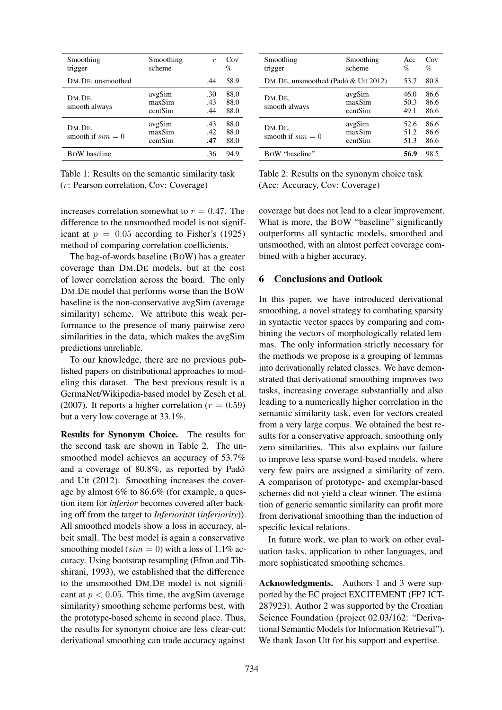| Smoothing<br>trigger          | Smoothing<br>scheme         | $\boldsymbol{r}$  | Cov<br>$\%$          |
|-------------------------------|-----------------------------|-------------------|----------------------|
| DM.DE, unsmoothed             |                             | .44               | 58.9                 |
| DM.DE.<br>smooth always       | avgSim<br>maxSim<br>centSim | .30<br>.43<br>.44 | 88.0<br>88.0<br>88.0 |
| DM.DE.<br>smooth if $sim = 0$ | avgSim<br>maxSim<br>centSim | .43<br>.42<br>.47 | 88.0<br>88.0<br>88.0 |
| <b>BOW</b> baseline           |                             | .36               | 94.9                 |

Table 1: Results on the semantic similarity task (r: Pearson correlation, Cov: Coverage)

| Smoothing<br>trigger                | Smoothing<br>scheme         | Acc<br>$\%$          | Cov<br>$\%$          |
|-------------------------------------|-----------------------------|----------------------|----------------------|
| DM.DE, unsmoothed (Padó & Utt 2012) |                             | 53.7                 | 80.8                 |
| DM.DE.<br>smooth always             | avgSim<br>maxSim<br>centSim | 46.0<br>50.3<br>49.1 | 86.6<br>86.6<br>86.6 |
| DM.DE.<br>smooth if $sim = 0$       | avgSim<br>maxSim<br>centSim | 52.6<br>51.2<br>51.3 | 86.6<br>86.6<br>86.6 |
| BOW "baseline"                      |                             | 56.9                 | 98.5                 |

Table 2: Results on the synonym choice task (Acc: Accuracy, Cov: Coverage)

increases correlation somewhat to  $r = 0.47$ . The difference to the unsmoothed model is not significant at  $p = 0.05$  according to Fisher's (1925) method of comparing correlation coefficients.

The bag-of-words baseline (BOW) has a greater coverage than DM.DE models, but at the cost of lower correlation across the board. The only DM.DE model that performs worse than the BOW baseline is the non-conservative avgSim (average similarity) scheme. We attribute this weak performance to the presence of many pairwise zero similarities in the data, which makes the avgSim predictions unreliable.

To our knowledge, there are no previous published papers on distributional approaches to modeling this dataset. The best previous result is a GermaNet/Wikipedia-based model by Zesch et al. (2007). It reports a higher correlation ( $r = 0.59$ ) but a very low coverage at 33.1%.

Results for Synonym Choice. The results for the second task are shown in Table 2. The unsmoothed model achieves an accuracy of 53.7% and a coverage of 80.8%, as reported by Pado´ and Utt (2012). Smoothing increases the coverage by almost 6% to 86.6% (for example, a question item for *inferior* becomes covered after backing off from the target to *Inferiorität* (*inferiority*)). All smoothed models show a loss in accuracy, albeit small. The best model is again a conservative smoothing model ( $sim = 0$ ) with a loss of 1.1% accuracy. Using bootstrap resampling (Efron and Tibshirani, 1993), we established that the difference to the unsmoothed DM.DE model is not significant at  $p < 0.05$ . This time, the avgSim (average similarity) smoothing scheme performs best, with the prototype-based scheme in second place. Thus, the results for synonym choice are less clear-cut: derivational smoothing can trade accuracy against

coverage but does not lead to a clear improvement. What is more, the BOW "baseline" significantly outperforms all syntactic models, smoothed and unsmoothed, with an almost perfect coverage combined with a higher accuracy.

#### 6 Conclusions and Outlook

In this paper, we have introduced derivational smoothing, a novel strategy to combating sparsity in syntactic vector spaces by comparing and combining the vectors of morphologically related lemmas. The only information strictly necessary for the methods we propose is a grouping of lemmas into derivationally related classes. We have demonstrated that derivational smoothing improves two tasks, increasing coverage substantially and also leading to a numerically higher correlation in the semantic similarity task, even for vectors created from a very large corpus. We obtained the best results for a conservative approach, smoothing only zero similarities. This also explains our failure to improve less sparse word-based models, where very few pairs are assigned a similarity of zero. A comparison of prototype- and exemplar-based schemes did not yield a clear winner. The estimation of generic semantic similarity can profit more from derivational smoothing than the induction of specific lexical relations.

In future work, we plan to work on other evaluation tasks, application to other languages, and more sophisticated smoothing schemes.

Acknowledgments. Authors 1 and 3 were supported by the EC project EXCITEMENT (FP7 ICT-287923). Author 2 was supported by the Croatian Science Foundation (project 02.03/162: "Derivational Semantic Models for Information Retrieval"). We thank Jason Utt for his support and expertise.